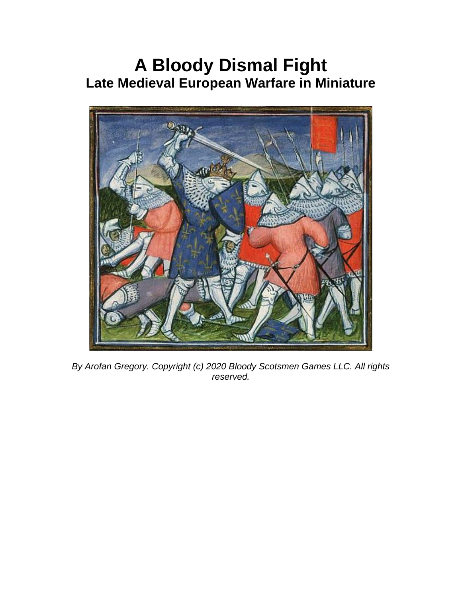# **A Bloody Dismal Fight Late Medieval European Warfare in Miniature**



*By Arofan Gregory. Copyright (c) 2020 Bloody Scotsmen Games LLC. All rights reserved.*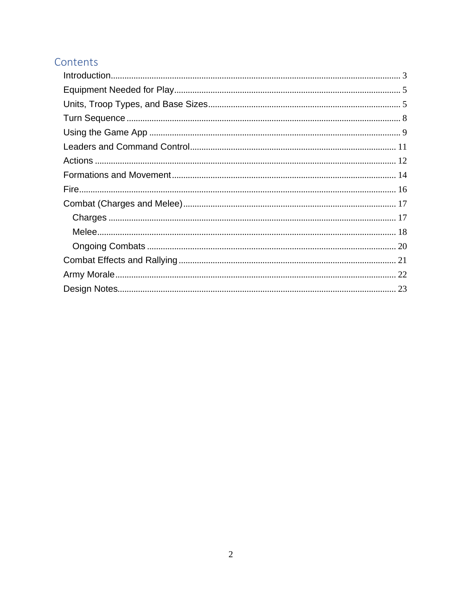### Contents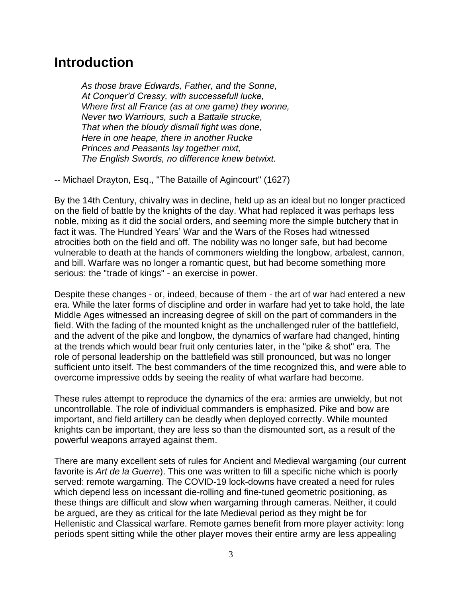### <span id="page-2-0"></span>**Introduction**

*As those brave Edwards, Father, and the Sonne, At Conquer'd Cressy, with successefull lucke, Where first all France (as at one game) they wonne, Never two Warriours, such a Battaile strucke, That when the bloudy dismall fight was done, Here in one heape, there in another Rucke Princes and Peasants lay together mixt, The English Swords, no difference knew betwixt.*

-- Michael Drayton, Esq., "The Bataille of Agincourt" (1627)

By the 14th Century, chivalry was in decline, held up as an ideal but no longer practiced on the field of battle by the knights of the day. What had replaced it was perhaps less noble, mixing as it did the social orders, and seeming more the simple butchery that in fact it was. The Hundred Years' War and the Wars of the Roses had witnessed atrocities both on the field and off. The nobility was no longer safe, but had become vulnerable to death at the hands of commoners wielding the longbow, arbalest, cannon, and bill. Warfare was no longer a romantic quest, but had become something more serious: the "trade of kings" - an exercise in power.

Despite these changes - or, indeed, because of them - the art of war had entered a new era. While the later forms of discipline and order in warfare had yet to take hold, the late Middle Ages witnessed an increasing degree of skill on the part of commanders in the field. With the fading of the mounted knight as the unchallenged ruler of the battlefield, and the advent of the pike and longbow, the dynamics of warfare had changed, hinting at the trends which would bear fruit only centuries later, in the "pike & shot" era. The role of personal leadership on the battlefield was still pronounced, but was no longer sufficient unto itself. The best commanders of the time recognized this, and were able to overcome impressive odds by seeing the reality of what warfare had become.

These rules attempt to reproduce the dynamics of the era: armies are unwieldy, but not uncontrollable. The role of individual commanders is emphasized. Pike and bow are important, and field artillery can be deadly when deployed correctly. While mounted knights can be important, they are less so than the dismounted sort, as a result of the powerful weapons arrayed against them.

There are many excellent sets of rules for Ancient and Medieval wargaming (our current favorite is *Art de la Guerre*). This one was written to fill a specific niche which is poorly served: remote wargaming. The COVID-19 lock-downs have created a need for rules which depend less on incessant die-rolling and fine-tuned geometric positioning, as these things are difficult and slow when wargaming through cameras. Neither, it could be argued, are they as critical for the late Medieval period as they might be for Hellenistic and Classical warfare. Remote games benefit from more player activity: long periods spent sitting while the other player moves their entire army are less appealing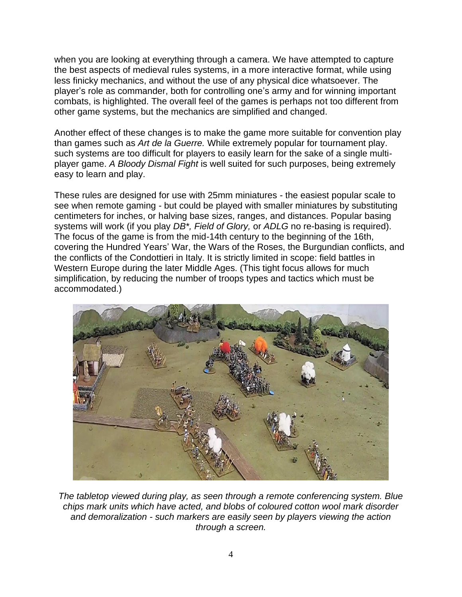when you are looking at everything through a camera. We have attempted to capture the best aspects of medieval rules systems, in a more interactive format, while using less finicky mechanics, and without the use of any physical dice whatsoever. The player's role as commander, both for controlling one's army and for winning important combats, is highlighted. The overall feel of the games is perhaps not too different from other game systems, but the mechanics are simplified and changed.

Another effect of these changes is to make the game more suitable for convention play than games such as *Art de la Guerre.* While extremely popular for tournament play. such systems are too difficult for players to easily learn for the sake of a single multiplayer game. *A Bloody Dismal Fight* is well suited for such purposes, being extremely easy to learn and play.

These rules are designed for use with 25mm miniatures - the easiest popular scale to see when remote gaming - but could be played with smaller miniatures by substituting centimeters for inches, or halving base sizes, ranges, and distances. Popular basing systems will work (if you play *DB\*, Field of Glory,* or *ADLG* no re-basing is required). The focus of the game is from the mid-14th century to the beginning of the 16th, covering the Hundred Years' War, the Wars of the Roses, the Burgundian conflicts, and the conflicts of the Condottieri in Italy. It is strictly limited in scope: field battles in Western Europe during the later Middle Ages. (This tight focus allows for much simplification, by reducing the number of troops types and tactics which must be accommodated.)



*The tabletop viewed during play, as seen through a remote conferencing system. Blue chips mark units which have acted, and blobs of coloured cotton wool mark disorder and demoralization - such markers are easily seen by players viewing the action through a screen.*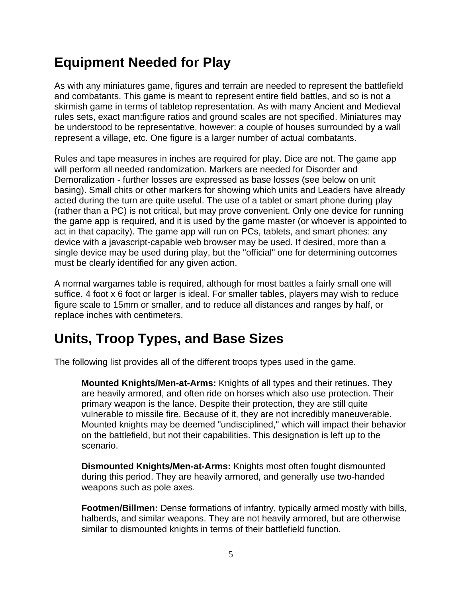## <span id="page-4-0"></span>**Equipment Needed for Play**

As with any miniatures game, figures and terrain are needed to represent the battlefield and combatants. This game is meant to represent entire field battles, and so is not a skirmish game in terms of tabletop representation. As with many Ancient and Medieval rules sets, exact man:figure ratios and ground scales are not specified. Miniatures may be understood to be representative, however: a couple of houses surrounded by a wall represent a village, etc. One figure is a larger number of actual combatants.

Rules and tape measures in inches are required for play. Dice are not. The game app will perform all needed randomization. Markers are needed for Disorder and Demoralization - further losses are expressed as base losses (see below on unit basing). Small chits or other markers for showing which units and Leaders have already acted during the turn are quite useful. The use of a tablet or smart phone during play (rather than a PC) is not critical, but may prove convenient. Only one device for running the game app is required, and it is used by the game master (or whoever is appointed to act in that capacity). The game app will run on PCs, tablets, and smart phones: any device with a javascript-capable web browser may be used. If desired, more than a single device may be used during play, but the "official" one for determining outcomes must be clearly identified for any given action.

A normal wargames table is required, although for most battles a fairly small one will suffice. 4 foot x 6 foot or larger is ideal. For smaller tables, players may wish to reduce figure scale to 15mm or smaller, and to reduce all distances and ranges by half, or replace inches with centimeters.

## <span id="page-4-1"></span>**Units, Troop Types, and Base Sizes**

The following list provides all of the different troops types used in the game.

**Mounted Knights/Men-at-Arms:** Knights of all types and their retinues. They are heavily armored, and often ride on horses which also use protection. Their primary weapon is the lance. Despite their protection, they are still quite vulnerable to missile fire. Because of it, they are not incredibly maneuverable. Mounted knights may be deemed "undisciplined," which will impact their behavior on the battlefield, but not their capabilities. This designation is left up to the scenario.

**Dismounted Knights/Men-at-Arms:** Knights most often fought dismounted during this period. They are heavily armored, and generally use two-handed weapons such as pole axes.

**Footmen/Billmen:** Dense formations of infantry, typically armed mostly with bills, halberds, and similar weapons. They are not heavily armored, but are otherwise similar to dismounted knights in terms of their battlefield function.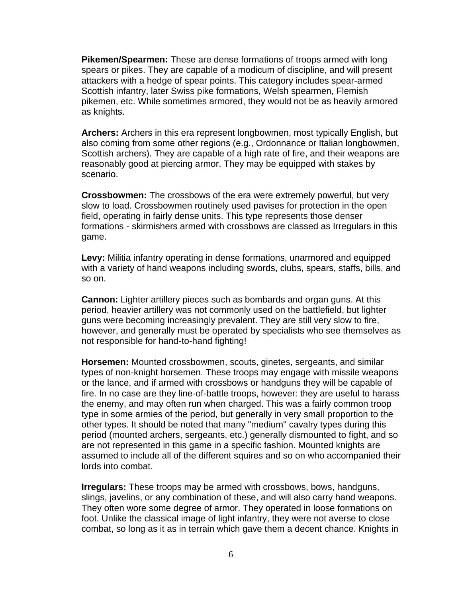**Pikemen/Spearmen:** These are dense formations of troops armed with long spears or pikes. They are capable of a modicum of discipline, and will present attackers with a hedge of spear points. This category includes spear-armed Scottish infantry, later Swiss pike formations, Welsh spearmen, Flemish pikemen, etc. While sometimes armored, they would not be as heavily armored as knights.

**Archers:** Archers in this era represent longbowmen, most typically English, but also coming from some other regions (e.g., Ordonnance or Italian longbowmen, Scottish archers). They are capable of a high rate of fire, and their weapons are reasonably good at piercing armor. They may be equipped with stakes by scenario.

**Crossbowmen:** The crossbows of the era were extremely powerful, but very slow to load. Crossbowmen routinely used pavises for protection in the open field, operating in fairly dense units. This type represents those denser formations - skirmishers armed with crossbows are classed as Irregulars in this game.

**Levy:** Militia infantry operating in dense formations, unarmored and equipped with a variety of hand weapons including swords, clubs, spears, staffs, bills, and so on.

**Cannon:** Lighter artillery pieces such as bombards and organ guns. At this period, heavier artillery was not commonly used on the battlefield, but lighter guns were becoming increasingly prevalent. They are still very slow to fire, however, and generally must be operated by specialists who see themselves as not responsible for hand-to-hand fighting!

**Horsemen:** Mounted crossbowmen, scouts, ginetes, sergeants, and similar types of non-knight horsemen. These troops may engage with missile weapons or the lance, and if armed with crossbows or handguns they will be capable of fire. In no case are they line-of-battle troops, however: they are useful to harass the enemy, and may often run when charged. This was a fairly common troop type in some armies of the period, but generally in very small proportion to the other types. It should be noted that many "medium" cavalry types during this period (mounted archers, sergeants, etc.) generally dismounted to fight, and so are not represented in this game in a specific fashion. Mounted knights are assumed to include all of the different squires and so on who accompanied their lords into combat.

**Irregulars:** These troops may be armed with crossbows, bows, handguns, slings, javelins, or any combination of these, and will also carry hand weapons. They often wore some degree of armor. They operated in loose formations on foot. Unlike the classical image of light infantry, they were not averse to close combat, so long as it as in terrain which gave them a decent chance. Knights in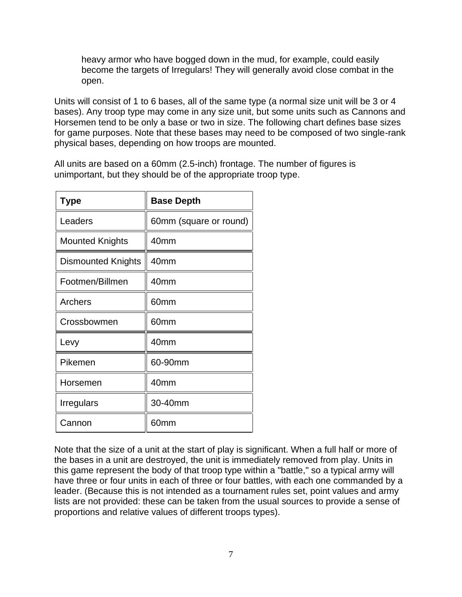heavy armor who have bogged down in the mud, for example, could easily become the targets of Irregulars! They will generally avoid close combat in the open.

Units will consist of 1 to 6 bases, all of the same type (a normal size unit will be 3 or 4 bases). Any troop type may come in any size unit, but some units such as Cannons and Horsemen tend to be only a base or two in size. The following chart defines base sizes for game purposes. Note that these bases may need to be composed of two single-rank physical bases, depending on how troops are mounted.

All units are based on a 60mm (2.5-inch) frontage. The number of figures is unimportant, but they should be of the appropriate troop type.

| Type                      | <b>Base Depth</b>      |
|---------------------------|------------------------|
| Leaders                   | 60mm (square or round) |
| <b>Mounted Knights</b>    | 40 <sub>mm</sub>       |
| <b>Dismounted Knights</b> | 40 <sub>mm</sub>       |
| Footmen/Billmen           | 40mm                   |
| Archers                   | 60mm                   |
| Crossbowmen               | 60mm                   |
| Levy                      | 40mm                   |
| Pikemen                   | 60-90mm                |
| Horsemen                  | 40mm                   |
| Irregulars                | 30-40mm                |
| Cannon                    | 60mm                   |

Note that the size of a unit at the start of play is significant. When a full half or more of the bases in a unit are destroyed, the unit is immediately removed from play. Units in this game represent the body of that troop type within a "battle," so a typical army will have three or four units in each of three or four battles, with each one commanded by a leader. (Because this is not intended as a tournament rules set, point values and army lists are not provided: these can be taken from the usual sources to provide a sense of proportions and relative values of different troops types).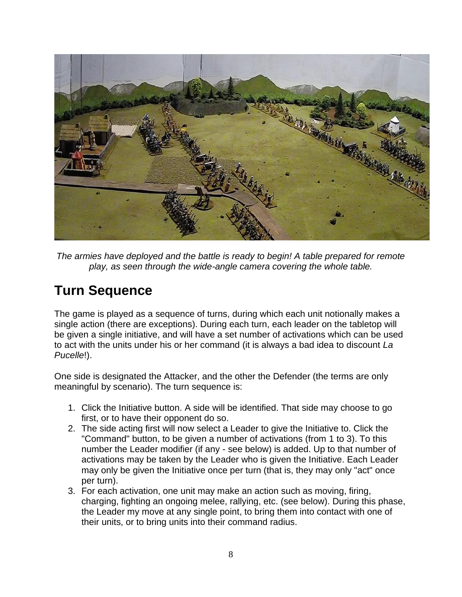

*The armies have deployed and the battle is ready to begin! A table prepared for remote play, as seen through the wide-angle camera covering the whole table.*

## <span id="page-7-0"></span>**Turn Sequence**

The game is played as a sequence of turns, during which each unit notionally makes a single action (there are exceptions). During each turn, each leader on the tabletop will be given a single initiative, and will have a set number of activations which can be used to act with the units under his or her command (it is always a bad idea to discount *La Pucelle*!).

One side is designated the Attacker, and the other the Defender (the terms are only meaningful by scenario). The turn sequence is:

- 1. Click the Initiative button. A side will be identified. That side may choose to go first, or to have their opponent do so.
- 2. The side acting first will now select a Leader to give the Initiative to. Click the "Command" button, to be given a number of activations (from 1 to 3). To this number the Leader modifier (if any - see below) is added. Up to that number of activations may be taken by the Leader who is given the Initiative. Each Leader may only be given the Initiative once per turn (that is, they may only "act" once per turn).
- 3. For each activation, one unit may make an action such as moving, firing, charging, fighting an ongoing melee, rallying, etc. (see below). During this phase, the Leader my move at any single point, to bring them into contact with one of their units, or to bring units into their command radius.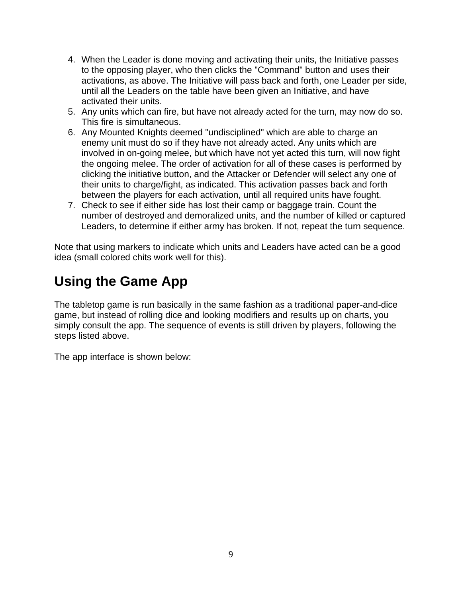- 4. When the Leader is done moving and activating their units, the Initiative passes to the opposing player, who then clicks the "Command" button and uses their activations, as above. The Initiative will pass back and forth, one Leader per side, until all the Leaders on the table have been given an Initiative, and have activated their units.
- 5. Any units which can fire, but have not already acted for the turn, may now do so. This fire is simultaneous.
- 6. Any Mounted Knights deemed "undisciplined" which are able to charge an enemy unit must do so if they have not already acted. Any units which are involved in on-going melee, but which have not yet acted this turn, will now fight the ongoing melee. The order of activation for all of these cases is performed by clicking the initiative button, and the Attacker or Defender will select any one of their units to charge/fight, as indicated. This activation passes back and forth between the players for each activation, until all required units have fought.
- 7. Check to see if either side has lost their camp or baggage train. Count the number of destroyed and demoralized units, and the number of killed or captured Leaders, to determine if either army has broken. If not, repeat the turn sequence.

Note that using markers to indicate which units and Leaders have acted can be a good idea (small colored chits work well for this).

## <span id="page-8-0"></span>**Using the Game App**

The tabletop game is run basically in the same fashion as a traditional paper-and-dice game, but instead of rolling dice and looking modifiers and results up on charts, you simply consult the app. The sequence of events is still driven by players, following the steps listed above.

The app interface is shown below: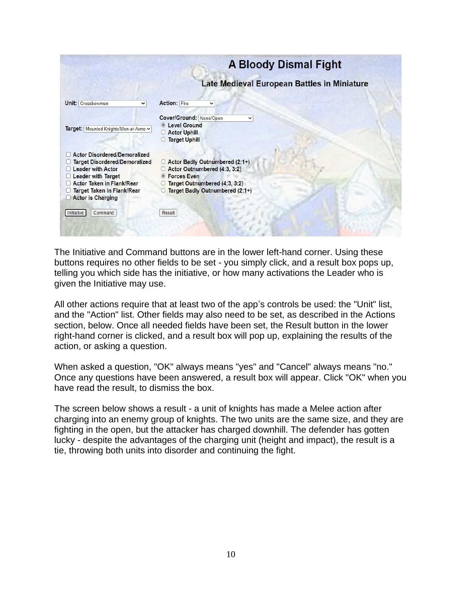

The Initiative and Command buttons are in the lower left-hand corner. Using these buttons requires no other fields to be set - you simply click, and a result box pops up, telling you which side has the initiative, or how many activations the Leader who is given the Initiative may use.

All other actions require that at least two of the app's controls be used: the "Unit" list, and the "Action" list. Other fields may also need to be set, as described in the Actions section, below. Once all needed fields have been set, the Result button in the lower right-hand corner is clicked, and a result box will pop up, explaining the results of the action, or asking a question.

When asked a question, "OK" always means "yes" and "Cancel" always means "no." Once any questions have been answered, a result box will appear. Click "OK" when you have read the result, to dismiss the box.

The screen below shows a result - a unit of knights has made a Melee action after charging into an enemy group of knights. The two units are the same size, and they are fighting in the open, but the attacker has charged downhill. The defender has gotten lucky - despite the advantages of the charging unit (height and impact), the result is a tie, throwing both units into disorder and continuing the fight.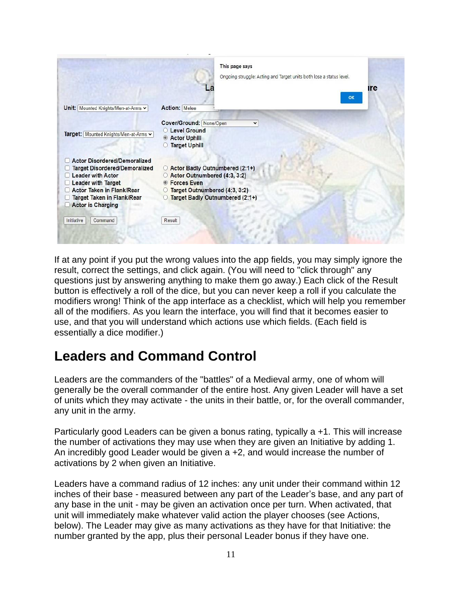

If at any point if you put the wrong values into the app fields, you may simply ignore the result, correct the settings, and click again. (You will need to "click through" any questions just by answering anything to make them go away.) Each click of the Result button is effectively a roll of the dice, but you can never keep a roll if you calculate the modifiers wrong! Think of the app interface as a checklist, which will help you remember all of the modifiers. As you learn the interface, you will find that it becomes easier to use, and that you will understand which actions use which fields. (Each field is essentially a dice modifier.)

## <span id="page-10-0"></span>**Leaders and Command Control**

Leaders are the commanders of the "battles" of a Medieval army, one of whom will generally be the overall commander of the entire host. Any given Leader will have a set of units which they may activate - the units in their battle, or, for the overall commander, any unit in the army.

Particularly good Leaders can be given a bonus rating, typically a +1. This will increase the number of activations they may use when they are given an Initiative by adding 1. An incredibly good Leader would be given a +2, and would increase the number of activations by 2 when given an Initiative.

Leaders have a command radius of 12 inches: any unit under their command within 12 inches of their base - measured between any part of the Leader's base, and any part of any base in the unit - may be given an activation once per turn. When activated, that unit will immediately make whatever valid action the player chooses (see Actions, below). The Leader may give as many activations as they have for that Initiative: the number granted by the app, plus their personal Leader bonus if they have one.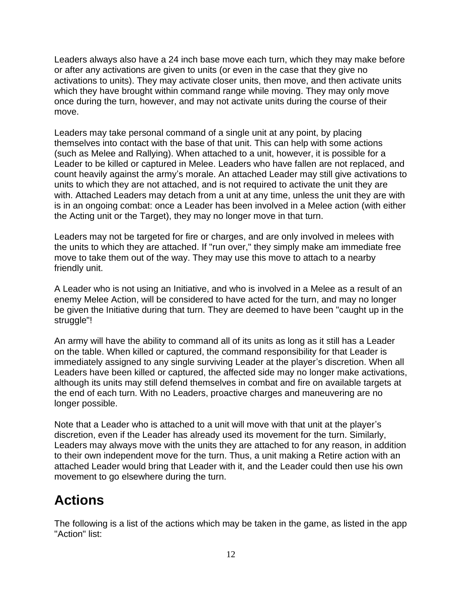Leaders always also have a 24 inch base move each turn, which they may make before or after any activations are given to units (or even in the case that they give no activations to units). They may activate closer units, then move, and then activate units which they have brought within command range while moving. They may only move once during the turn, however, and may not activate units during the course of their move.

Leaders may take personal command of a single unit at any point, by placing themselves into contact with the base of that unit. This can help with some actions (such as Melee and Rallying). When attached to a unit, however, it is possible for a Leader to be killed or captured in Melee. Leaders who have fallen are not replaced, and count heavily against the army's morale. An attached Leader may still give activations to units to which they are not attached, and is not required to activate the unit they are with. Attached Leaders may detach from a unit at any time, unless the unit they are with is in an ongoing combat: once a Leader has been involved in a Melee action (with either the Acting unit or the Target), they may no longer move in that turn.

Leaders may not be targeted for fire or charges, and are only involved in melees with the units to which they are attached. If "run over," they simply make am immediate free move to take them out of the way. They may use this move to attach to a nearby friendly unit.

A Leader who is not using an Initiative, and who is involved in a Melee as a result of an enemy Melee Action, will be considered to have acted for the turn, and may no longer be given the Initiative during that turn. They are deemed to have been "caught up in the struggle"!

An army will have the ability to command all of its units as long as it still has a Leader on the table. When killed or captured, the command responsibility for that Leader is immediately assigned to any single surviving Leader at the player's discretion. When all Leaders have been killed or captured, the affected side may no longer make activations, although its units may still defend themselves in combat and fire on available targets at the end of each turn. With no Leaders, proactive charges and maneuvering are no longer possible.

Note that a Leader who is attached to a unit will move with that unit at the player's discretion, even if the Leader has already used its movement for the turn. Similarly, Leaders may always move with the units they are attached to for any reason, in addition to their own independent move for the turn. Thus, a unit making a Retire action with an attached Leader would bring that Leader with it, and the Leader could then use his own movement to go elsewhere during the turn.

## <span id="page-11-0"></span>**Actions**

The following is a list of the actions which may be taken in the game, as listed in the app "Action" list: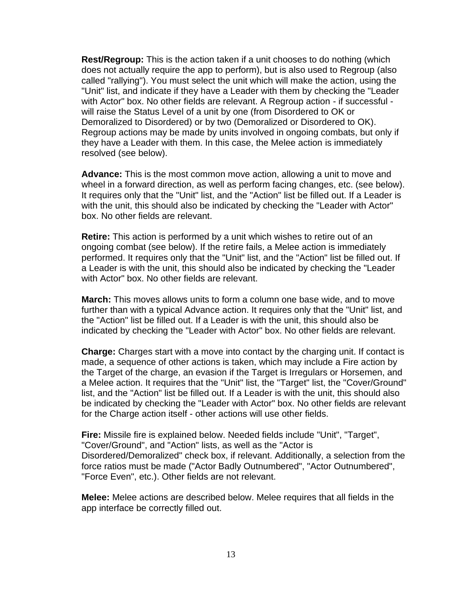**Rest/Regroup:** This is the action taken if a unit chooses to do nothing (which does not actually require the app to perform), but is also used to Regroup (also called "rallying"). You must select the unit which will make the action, using the "Unit" list, and indicate if they have a Leader with them by checking the "Leader with Actor" box. No other fields are relevant. A Regroup action - if successful will raise the Status Level of a unit by one (from Disordered to OK or Demoralized to Disordered) or by two (Demoralized or Disordered to OK). Regroup actions may be made by units involved in ongoing combats, but only if they have a Leader with them. In this case, the Melee action is immediately resolved (see below).

**Advance:** This is the most common move action, allowing a unit to move and wheel in a forward direction, as well as perform facing changes, etc. (see below). It requires only that the "Unit" list, and the "Action" list be filled out. If a Leader is with the unit, this should also be indicated by checking the "Leader with Actor" box. No other fields are relevant.

**Retire:** This action is performed by a unit which wishes to retire out of an ongoing combat (see below). If the retire fails, a Melee action is immediately performed. It requires only that the "Unit" list, and the "Action" list be filled out. If a Leader is with the unit, this should also be indicated by checking the "Leader with Actor" box. No other fields are relevant.

**March:** This moves allows units to form a column one base wide, and to move further than with a typical Advance action. It requires only that the "Unit" list, and the "Action" list be filled out. If a Leader is with the unit, this should also be indicated by checking the "Leader with Actor" box. No other fields are relevant.

**Charge:** Charges start with a move into contact by the charging unit. If contact is made, a sequence of other actions is taken, which may include a Fire action by the Target of the charge, an evasion if the Target is Irregulars or Horsemen, and a Melee action. It requires that the "Unit" list, the "Target" list, the "Cover/Ground" list, and the "Action" list be filled out. If a Leader is with the unit, this should also be indicated by checking the "Leader with Actor" box. No other fields are relevant for the Charge action itself - other actions will use other fields.

**Fire:** Missile fire is explained below. Needed fields include "Unit", "Target", "Cover/Ground", and "Action" lists, as well as the "Actor is Disordered/Demoralized" check box, if relevant. Additionally, a selection from the force ratios must be made ("Actor Badly Outnumbered", "Actor Outnumbered", "Force Even", etc.). Other fields are not relevant.

**Melee:** Melee actions are described below. Melee requires that all fields in the app interface be correctly filled out.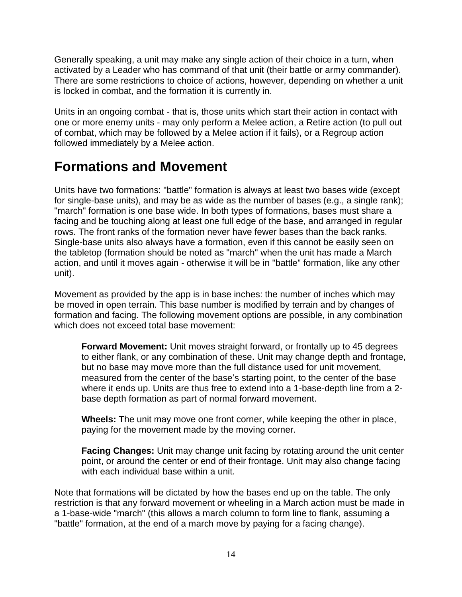Generally speaking, a unit may make any single action of their choice in a turn, when activated by a Leader who has command of that unit (their battle or army commander). There are some restrictions to choice of actions, however, depending on whether a unit is locked in combat, and the formation it is currently in.

Units in an ongoing combat - that is, those units which start their action in contact with one or more enemy units - may only perform a Melee action, a Retire action (to pull out of combat, which may be followed by a Melee action if it fails), or a Regroup action followed immediately by a Melee action.

### <span id="page-13-0"></span>**Formations and Movement**

Units have two formations: "battle" formation is always at least two bases wide (except for single-base units), and may be as wide as the number of bases (e.g., a single rank); "march" formation is one base wide. In both types of formations, bases must share a facing and be touching along at least one full edge of the base, and arranged in regular rows. The front ranks of the formation never have fewer bases than the back ranks. Single-base units also always have a formation, even if this cannot be easily seen on the tabletop (formation should be noted as "march" when the unit has made a March action, and until it moves again - otherwise it will be in "battle" formation, like any other unit).

Movement as provided by the app is in base inches: the number of inches which may be moved in open terrain. This base number is modified by terrain and by changes of formation and facing. The following movement options are possible, in any combination which does not exceed total base movement:

**Forward Movement:** Unit moves straight forward, or frontally up to 45 degrees to either flank, or any combination of these. Unit may change depth and frontage, but no base may move more than the full distance used for unit movement, measured from the center of the base's starting point, to the center of the base where it ends up. Units are thus free to extend into a 1-base-depth line from a 2 base depth formation as part of normal forward movement.

**Wheels:** The unit may move one front corner, while keeping the other in place, paying for the movement made by the moving corner.

**Facing Changes:** Unit may change unit facing by rotating around the unit center point, or around the center or end of their frontage. Unit may also change facing with each individual base within a unit.

Note that formations will be dictated by how the bases end up on the table. The only restriction is that any forward movement or wheeling in a March action must be made in a 1-base-wide "march" (this allows a march column to form line to flank, assuming a "battle" formation, at the end of a march move by paying for a facing change).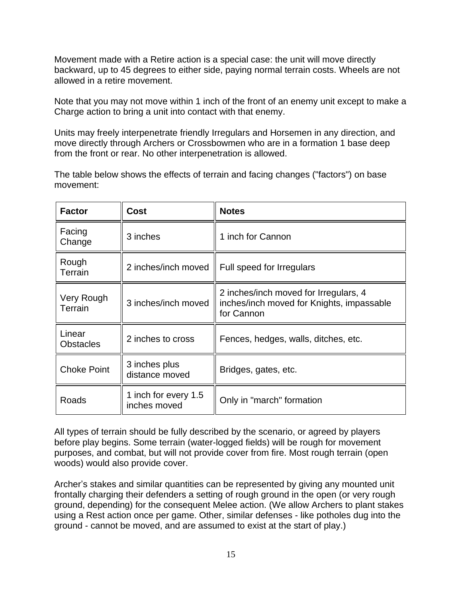Movement made with a Retire action is a special case: the unit will move directly backward, up to 45 degrees to either side, paying normal terrain costs. Wheels are not allowed in a retire movement.

Note that you may not move within 1 inch of the front of an enemy unit except to make a Charge action to bring a unit into contact with that enemy.

Units may freely interpenetrate friendly Irregulars and Horsemen in any direction, and move directly through Archers or Crossbowmen who are in a formation 1 base deep from the front or rear. No other interpenetration is allowed.

The table below shows the effects of terrain and facing changes ("factors") on base movement:

| <b>Factor</b>              | Cost                                 | <b>Notes</b>                                                                                     |
|----------------------------|--------------------------------------|--------------------------------------------------------------------------------------------------|
| Facing<br>Change           | 3 inches                             | 1 inch for Cannon                                                                                |
| Rough<br>Terrain           | 2 inches/inch moved                  | Full speed for Irregulars                                                                        |
| Very Rough<br>Terrain      | 3 inches/inch moved                  | 2 inches/inch moved for Irregulars, 4<br>inches/inch moved for Knights, impassable<br>for Cannon |
| Linear<br><b>Obstacles</b> | 2 inches to cross                    | Fences, hedges, walls, ditches, etc.                                                             |
| <b>Choke Point</b>         | 3 inches plus<br>distance moved      | Bridges, gates, etc.                                                                             |
| Roads                      | 1 inch for every 1.5<br>inches moved | Only in "march" formation                                                                        |

All types of terrain should be fully described by the scenario, or agreed by players before play begins. Some terrain (water-logged fields) will be rough for movement purposes, and combat, but will not provide cover from fire. Most rough terrain (open woods) would also provide cover.

Archer's stakes and similar quantities can be represented by giving any mounted unit frontally charging their defenders a setting of rough ground in the open (or very rough ground, depending) for the consequent Melee action. (We allow Archers to plant stakes using a Rest action once per game. Other, similar defenses - like potholes dug into the ground - cannot be moved, and are assumed to exist at the start of play.)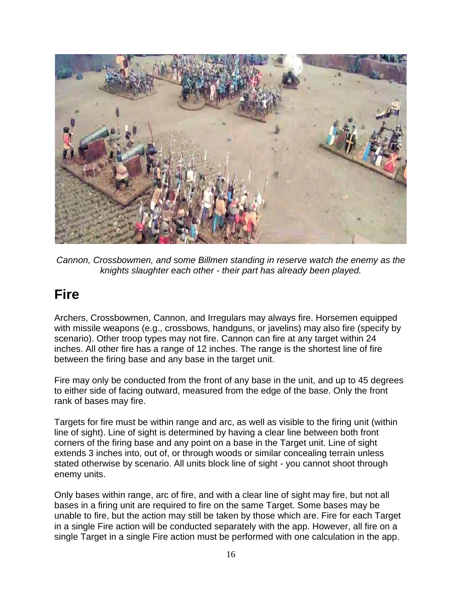

*Cannon, Crossbowmen, and some Billmen standing in reserve watch the enemy as the knights slaughter each other - their part has already been played.*

## <span id="page-15-0"></span>**Fire**

Archers, Crossbowmen, Cannon, and Irregulars may always fire. Horsemen equipped with missile weapons (e.g., crossbows, handguns, or javelins) may also fire (specify by scenario). Other troop types may not fire. Cannon can fire at any target within 24 inches. All other fire has a range of 12 inches. The range is the shortest line of fire between the firing base and any base in the target unit.

Fire may only be conducted from the front of any base in the unit, and up to 45 degrees to either side of facing outward, measured from the edge of the base. Only the front rank of bases may fire.

Targets for fire must be within range and arc, as well as visible to the firing unit (within line of sight). Line of sight is determined by having a clear line between both front corners of the firing base and any point on a base in the Target unit. Line of sight extends 3 inches into, out of, or through woods or similar concealing terrain unless stated otherwise by scenario. All units block line of sight - you cannot shoot through enemy units.

Only bases within range, arc of fire, and with a clear line of sight may fire, but not all bases in a firing unit are required to fire on the same Target. Some bases may be unable to fire, but the action may still be taken by those which are. Fire for each Target in a single Fire action will be conducted separately with the app. However, all fire on a single Target in a single Fire action must be performed with one calculation in the app.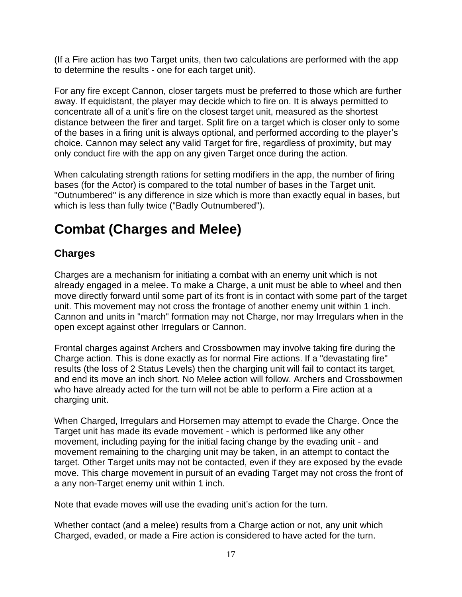(If a Fire action has two Target units, then two calculations are performed with the app to determine the results - one for each target unit).

For any fire except Cannon, closer targets must be preferred to those which are further away. If equidistant, the player may decide which to fire on. It is always permitted to concentrate all of a unit's fire on the closest target unit, measured as the shortest distance between the firer and target. Split fire on a target which is closer only to some of the bases in a firing unit is always optional, and performed according to the player's choice. Cannon may select any valid Target for fire, regardless of proximity, but may only conduct fire with the app on any given Target once during the action.

When calculating strength rations for setting modifiers in the app, the number of firing bases (for the Actor) is compared to the total number of bases in the Target unit. "Outnumbered" is any difference in size which is more than exactly equal in bases, but which is less than fully twice ("Badly Outnumbered").

## <span id="page-16-0"></span>**Combat (Charges and Melee)**

#### <span id="page-16-1"></span>**Charges**

Charges are a mechanism for initiating a combat with an enemy unit which is not already engaged in a melee. To make a Charge, a unit must be able to wheel and then move directly forward until some part of its front is in contact with some part of the target unit. This movement may not cross the frontage of another enemy unit within 1 inch. Cannon and units in "march" formation may not Charge, nor may Irregulars when in the open except against other Irregulars or Cannon.

Frontal charges against Archers and Crossbowmen may involve taking fire during the Charge action. This is done exactly as for normal Fire actions. If a "devastating fire" results (the loss of 2 Status Levels) then the charging unit will fail to contact its target, and end its move an inch short. No Melee action will follow. Archers and Crossbowmen who have already acted for the turn will not be able to perform a Fire action at a charging unit.

When Charged, Irregulars and Horsemen may attempt to evade the Charge. Once the Target unit has made its evade movement - which is performed like any other movement, including paying for the initial facing change by the evading unit - and movement remaining to the charging unit may be taken, in an attempt to contact the target. Other Target units may not be contacted, even if they are exposed by the evade move. This charge movement in pursuit of an evading Target may not cross the front of a any non-Target enemy unit within 1 inch.

Note that evade moves will use the evading unit's action for the turn.

Whether contact (and a melee) results from a Charge action or not, any unit which Charged, evaded, or made a Fire action is considered to have acted for the turn.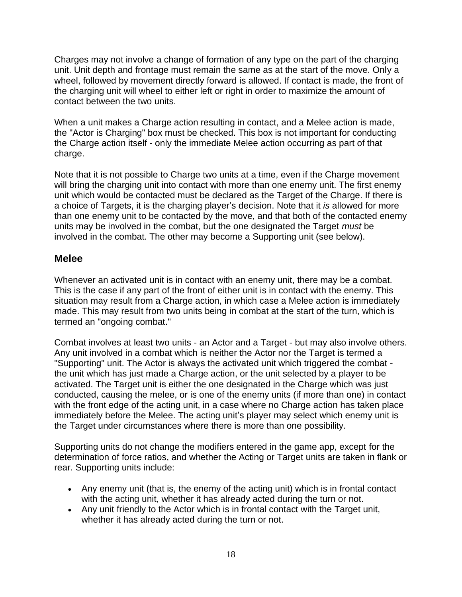Charges may not involve a change of formation of any type on the part of the charging unit. Unit depth and frontage must remain the same as at the start of the move. Only a wheel, followed by movement directly forward is allowed. If contact is made, the front of the charging unit will wheel to either left or right in order to maximize the amount of contact between the two units.

When a unit makes a Charge action resulting in contact, and a Melee action is made, the "Actor is Charging" box must be checked. This box is not important for conducting the Charge action itself - only the immediate Melee action occurring as part of that charge.

Note that it is not possible to Charge two units at a time, even if the Charge movement will bring the charging unit into contact with more than one enemy unit. The first enemy unit which would be contacted must be declared as the Target of the Charge. If there is a choice of Targets, it is the charging player's decision. Note that it *is* allowed for more than one enemy unit to be contacted by the move, and that both of the contacted enemy units may be involved in the combat, but the one designated the Target *must* be involved in the combat. The other may become a Supporting unit (see below).

#### <span id="page-17-0"></span>**Melee**

Whenever an activated unit is in contact with an enemy unit, there may be a combat. This is the case if any part of the front of either unit is in contact with the enemy. This situation may result from a Charge action, in which case a Melee action is immediately made. This may result from two units being in combat at the start of the turn, which is termed an "ongoing combat."

Combat involves at least two units - an Actor and a Target - but may also involve others. Any unit involved in a combat which is neither the Actor nor the Target is termed a "Supporting" unit. The Actor is always the activated unit which triggered the combat the unit which has just made a Charge action, or the unit selected by a player to be activated. The Target unit is either the one designated in the Charge which was just conducted, causing the melee, or is one of the enemy units (if more than one) in contact with the front edge of the acting unit, in a case where no Charge action has taken place immediately before the Melee. The acting unit's player may select which enemy unit is the Target under circumstances where there is more than one possibility.

Supporting units do not change the modifiers entered in the game app, except for the determination of force ratios, and whether the Acting or Target units are taken in flank or rear. Supporting units include:

- Any enemy unit (that is, the enemy of the acting unit) which is in frontal contact with the acting unit, whether it has already acted during the turn or not.
- Any unit friendly to the Actor which is in frontal contact with the Target unit, whether it has already acted during the turn or not.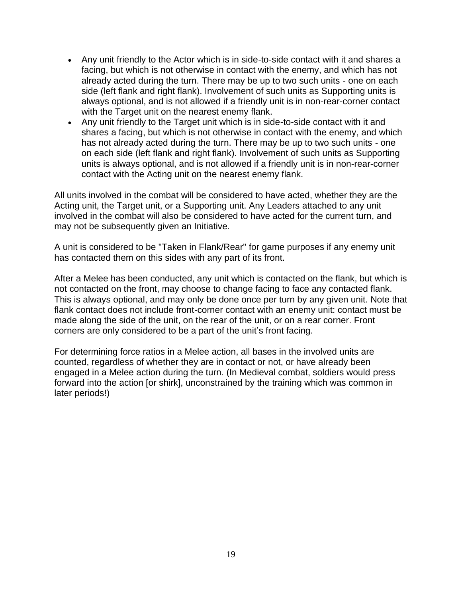- Any unit friendly to the Actor which is in side-to-side contact with it and shares a facing, but which is not otherwise in contact with the enemy, and which has not already acted during the turn. There may be up to two such units - one on each side (left flank and right flank). Involvement of such units as Supporting units is always optional, and is not allowed if a friendly unit is in non-rear-corner contact with the Target unit on the nearest enemy flank.
- Any unit friendly to the Target unit which is in side-to-side contact with it and shares a facing, but which is not otherwise in contact with the enemy, and which has not already acted during the turn. There may be up to two such units - one on each side (left flank and right flank). Involvement of such units as Supporting units is always optional, and is not allowed if a friendly unit is in non-rear-corner contact with the Acting unit on the nearest enemy flank.

All units involved in the combat will be considered to have acted, whether they are the Acting unit, the Target unit, or a Supporting unit. Any Leaders attached to any unit involved in the combat will also be considered to have acted for the current turn, and may not be subsequently given an Initiative.

A unit is considered to be "Taken in Flank/Rear" for game purposes if any enemy unit has contacted them on this sides with any part of its front.

After a Melee has been conducted, any unit which is contacted on the flank, but which is not contacted on the front, may choose to change facing to face any contacted flank. This is always optional, and may only be done once per turn by any given unit. Note that flank contact does not include front-corner contact with an enemy unit: contact must be made along the side of the unit, on the rear of the unit, or on a rear corner. Front corners are only considered to be a part of the unit's front facing.

For determining force ratios in a Melee action, all bases in the involved units are counted, regardless of whether they are in contact or not, or have already been engaged in a Melee action during the turn. (In Medieval combat, soldiers would press forward into the action [or shirk], unconstrained by the training which was common in later periods!)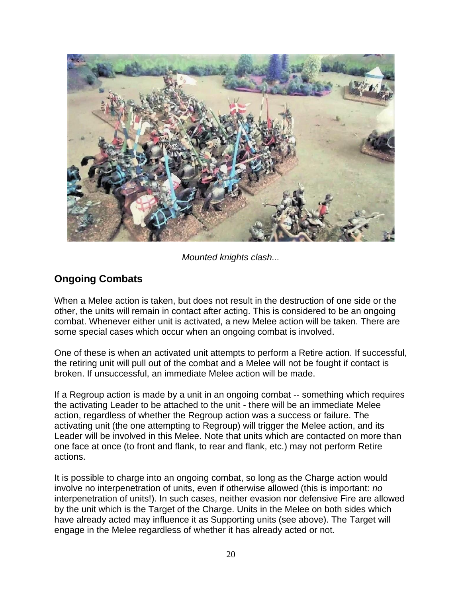

*Mounted knights clash...*

#### <span id="page-19-0"></span>**Ongoing Combats**

When a Melee action is taken, but does not result in the destruction of one side or the other, the units will remain in contact after acting. This is considered to be an ongoing combat. Whenever either unit is activated, a new Melee action will be taken. There are some special cases which occur when an ongoing combat is involved.

One of these is when an activated unit attempts to perform a Retire action. If successful, the retiring unit will pull out of the combat and a Melee will not be fought if contact is broken. If unsuccessful, an immediate Melee action will be made.

If a Regroup action is made by a unit in an ongoing combat -- something which requires the activating Leader to be attached to the unit - there will be an immediate Melee action, regardless of whether the Regroup action was a success or failure. The activating unit (the one attempting to Regroup) will trigger the Melee action, and its Leader will be involved in this Melee. Note that units which are contacted on more than one face at once (to front and flank, to rear and flank, etc.) may not perform Retire actions.

It is possible to charge into an ongoing combat, so long as the Charge action would involve no interpenetration of units, even if otherwise allowed (this is important: *no* interpenetration of units!). In such cases, neither evasion nor defensive Fire are allowed by the unit which is the Target of the Charge. Units in the Melee on both sides which have already acted may influence it as Supporting units (see above). The Target will engage in the Melee regardless of whether it has already acted or not.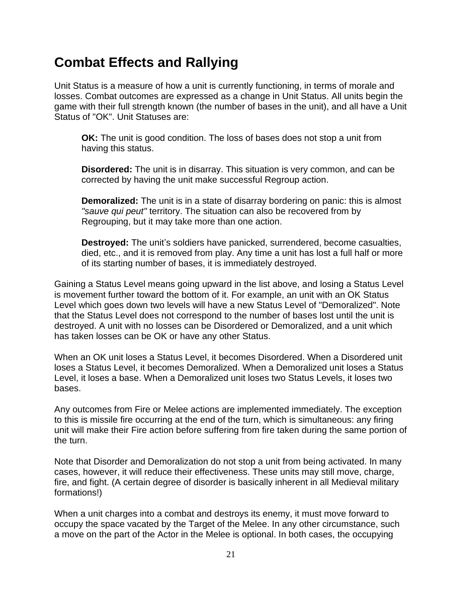## <span id="page-20-0"></span>**Combat Effects and Rallying**

Unit Status is a measure of how a unit is currently functioning, in terms of morale and losses. Combat outcomes are expressed as a change in Unit Status. All units begin the game with their full strength known (the number of bases in the unit), and all have a Unit Status of "OK". Unit Statuses are:

**OK:** The unit is good condition. The loss of bases does not stop a unit from having this status.

**Disordered:** The unit is in disarray. This situation is very common, and can be corrected by having the unit make successful Regroup action.

**Demoralized:** The unit is in a state of disarray bordering on panic: this is almost *"sauve qui peut"* territory. The situation can also be recovered from by Regrouping, but it may take more than one action.

**Destroyed:** The unit's soldiers have panicked, surrendered, become casualties, died, etc., and it is removed from play. Any time a unit has lost a full half or more of its starting number of bases, it is immediately destroyed.

Gaining a Status Level means going upward in the list above, and losing a Status Level is movement further toward the bottom of it. For example, an unit with an OK Status Level which goes down two levels will have a new Status Level of "Demoralized". Note that the Status Level does not correspond to the number of bases lost until the unit is destroyed. A unit with no losses can be Disordered or Demoralized, and a unit which has taken losses can be OK or have any other Status.

When an OK unit loses a Status Level, it becomes Disordered. When a Disordered unit loses a Status Level, it becomes Demoralized. When a Demoralized unit loses a Status Level, it loses a base. When a Demoralized unit loses two Status Levels, it loses two bases.

Any outcomes from Fire or Melee actions are implemented immediately. The exception to this is missile fire occurring at the end of the turn, which is simultaneous: any firing unit will make their Fire action before suffering from fire taken during the same portion of the turn.

Note that Disorder and Demoralization do not stop a unit from being activated. In many cases, however, it will reduce their effectiveness. These units may still move, charge, fire, and fight. (A certain degree of disorder is basically inherent in all Medieval military formations!)

When a unit charges into a combat and destroys its enemy, it must move forward to occupy the space vacated by the Target of the Melee. In any other circumstance, such a move on the part of the Actor in the Melee is optional. In both cases, the occupying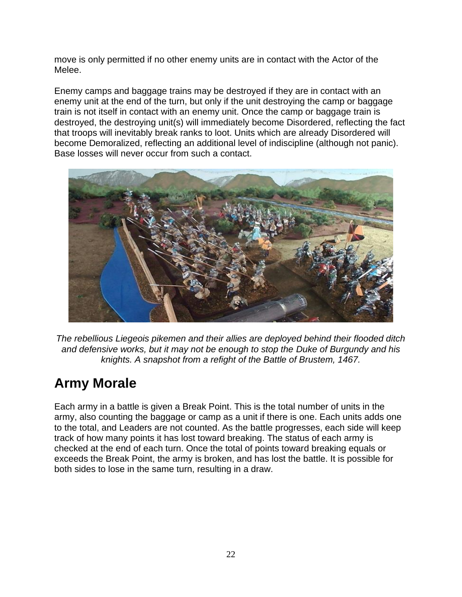move is only permitted if no other enemy units are in contact with the Actor of the Melee.

Enemy camps and baggage trains may be destroyed if they are in contact with an enemy unit at the end of the turn, but only if the unit destroying the camp or baggage train is not itself in contact with an enemy unit. Once the camp or baggage train is destroyed, the destroying unit(s) will immediately become Disordered, reflecting the fact that troops will inevitably break ranks to loot. Units which are already Disordered will become Demoralized, reflecting an additional level of indiscipline (although not panic). Base losses will never occur from such a contact.



*The rebellious Liegeois pikemen and their allies are deployed behind their flooded ditch and defensive works, but it may not be enough to stop the Duke of Burgundy and his knights. A snapshot from a refight of the Battle of Brustem, 1467.*

## <span id="page-21-0"></span>**Army Morale**

Each army in a battle is given a Break Point. This is the total number of units in the army, also counting the baggage or camp as a unit if there is one. Each units adds one to the total, and Leaders are not counted. As the battle progresses, each side will keep track of how many points it has lost toward breaking. The status of each army is checked at the end of each turn. Once the total of points toward breaking equals or exceeds the Break Point, the army is broken, and has lost the battle. It is possible for both sides to lose in the same turn, resulting in a draw.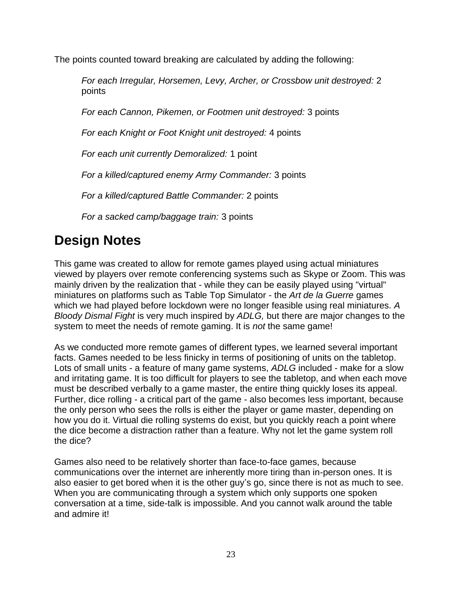The points counted toward breaking are calculated by adding the following:

*For each Irregular, Horsemen, Levy, Archer, or Crossbow unit destroyed:* 2 points

*For each Cannon, Pikemen, or Footmen unit destroyed:* 3 points

*For each Knight or Foot Knight unit destroyed:* 4 points

*For each unit currently Demoralized:* 1 point

*For a killed/captured enemy Army Commander:* 3 points

*For a killed/captured Battle Commander:* 2 points

*For a sacked camp/baggage train:* 3 points

## <span id="page-22-0"></span>**Design Notes**

This game was created to allow for remote games played using actual miniatures viewed by players over remote conferencing systems such as Skype or Zoom. This was mainly driven by the realization that - while they can be easily played using "virtual" miniatures on platforms such as Table Top Simulator - the *Art de la Guerre* games which we had played before lockdown were no longer feasible using real miniatures. *A Bloody Dismal Fight* is very much inspired by *ADLG,* but there are major changes to the system to meet the needs of remote gaming. It is *not* the same game!

As we conducted more remote games of different types, we learned several important facts. Games needed to be less finicky in terms of positioning of units on the tabletop. Lots of small units - a feature of many game systems, *ADLG* included - make for a slow and irritating game. It is too difficult for players to see the tabletop, and when each move must be described verbally to a game master, the entire thing quickly loses its appeal. Further, dice rolling - a critical part of the game - also becomes less important, because the only person who sees the rolls is either the player or game master, depending on how you do it. Virtual die rolling systems do exist, but you quickly reach a point where the dice become a distraction rather than a feature. Why not let the game system roll the dice?

Games also need to be relatively shorter than face-to-face games, because communications over the internet are inherently more tiring than in-person ones. It is also easier to get bored when it is the other guy's go, since there is not as much to see. When you are communicating through a system which only supports one spoken conversation at a time, side-talk is impossible. And you cannot walk around the table and admire it!